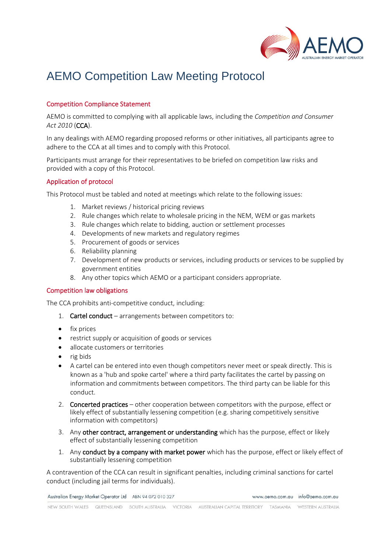

# AEMO Competition Law Meeting Protocol

## Competition Compliance Statement

AEMO is committed to complying with all applicable laws, including the *Competition and Consumer Act 2010* (CCA).

In any dealings with AEMO regarding proposed reforms or other initiatives, all participants agree to adhere to the CCA at all times and to comply with this Protocol.

Participants must arrange for their representatives to be briefed on competition law risks and provided with a copy of this Protocol.

## Application of protocol

This Protocol must be tabled and noted at meetings which relate to the following issues:

- 1. Market reviews / historical pricing reviews
- 2. Rule changes which relate to wholesale pricing in the NEM, WEM or gas markets
- 3. Rule changes which relate to bidding, auction or settlement processes
- 4. Developments of new markets and regulatory regimes
- 5. Procurement of goods or services
- 6. Reliability planning
- 7. Development of new products or services, including products or services to be supplied by government entities
- 8. Any other topics which AEMO or a participant considers appropriate.

## Competition law obligations

The CCA prohibits anti-competitive conduct, including:

- 1. Cartel conduct arrangements between competitors to:
- fix prices
- restrict supply or acquisition of goods or services
- allocate customers or territories
- rig bids
- A cartel can be entered into even though competitors never meet or speak directly. This is known as a 'hub and spoke cartel' where a third party facilitates the cartel by passing on information and commitments between competitors. The third party can be liable for this conduct.
- 2. Concerted practices other cooperation between competitors with the purpose, effect or likely effect of substantially lessening competition (e.g. sharing competitively sensitive information with competitors)
- 3. Any other contract, arrangement or understanding which has the purpose, effect or likely effect of substantially lessening competition
- 1. Any conduct by a company with market power which has the purpose, effect or likely effect of substantially lessening competition

A contravention of the CCA can result in significant penalties, including criminal sanctions for cartel conduct (including jail terms for individuals).

Australian Energy Market Operator Ltd ABN 94 072 010 327

www.aemo.com.au info@aemo.com.au